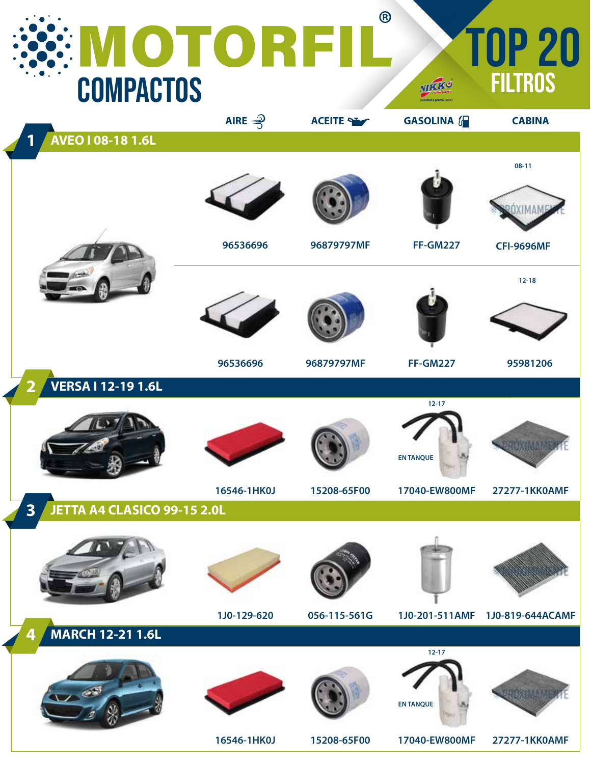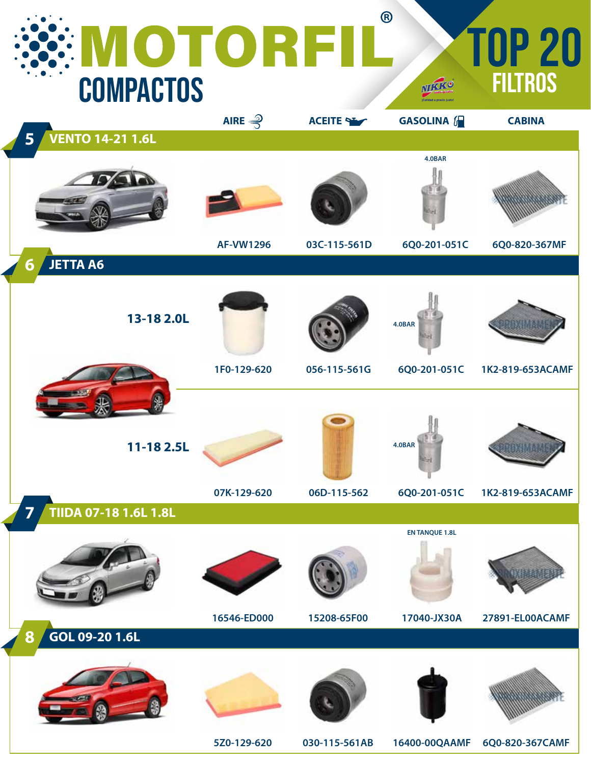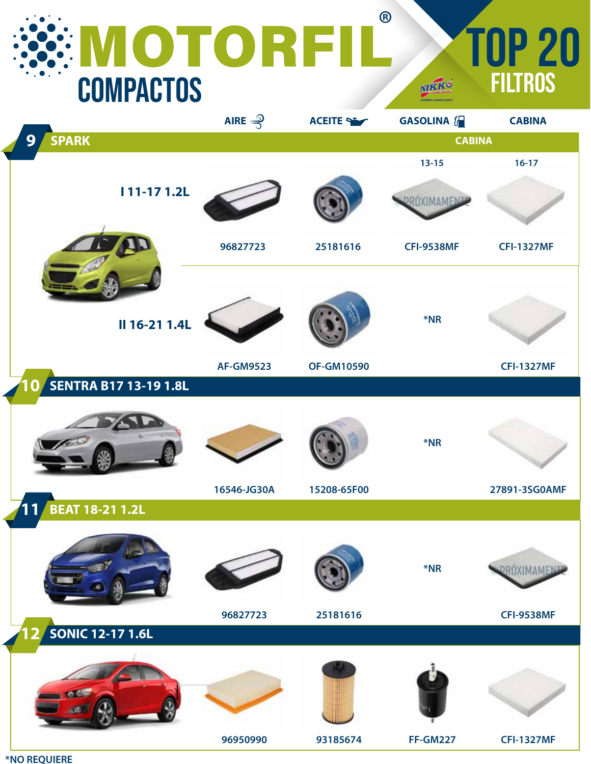## $\circledR$ TOP 20 MOTORFI **FILTROS COMPACTOS** NIKKO **AIRE**  $\Rightarrow$  **ACEITE GASOLINA CABINA 9 SPARK CABINA 13-15 16-17 I 11-17 1.2L DROXIMAMEN 96827723 25181616 CFI-9538MF CFI-1327MF \*NR II 16-21 1.4L AF-GM9523 OF-GM10590 CFI-1327MF 10 SENTRA B17 13-19 1.8L \*NR 16546-JG30A 15208-65F00 27891-3SG0AMF 11 BEAT 18-21 1.2L \*NR** PROXIMAME **96827723 25181616 CFI-9538MF 12 SONIC 12-17 1.6L**  multi **96950990 93185674 FF-GM227 CFI-1327MF**

**\*NO REQUIERE**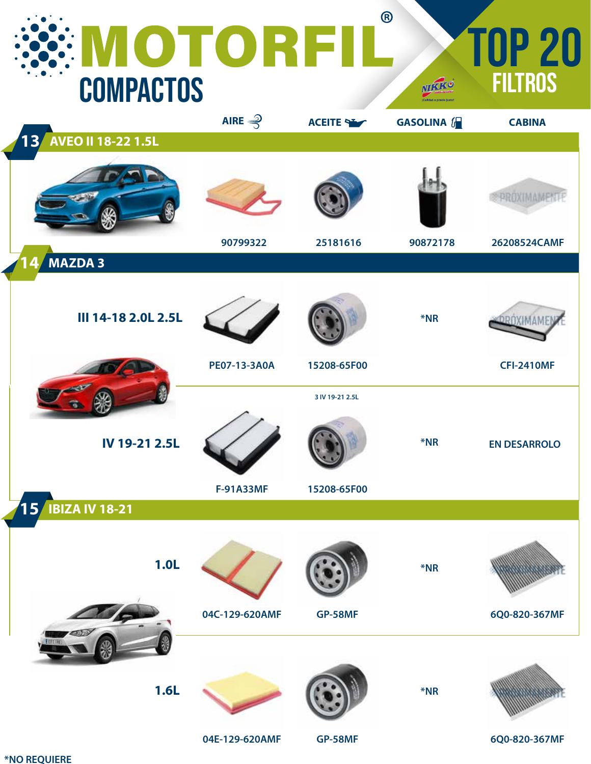|                           |                    |                       | $\circledR$                |                     |
|---------------------------|--------------------|-----------------------|----------------------------|---------------------|
|                           | <b>IOTORFIL</b>    |                       |                            | <b>TOP 20</b>       |
| <b>COMPACTOS</b>          |                    |                       |                            | <b>FILTROS</b>      |
| <b>AVEO II 18-22 1.5L</b> | AIRE $\Rightarrow$ | <b>ACEITE SECTION</b> | <b>GASOLINA</b> <i>[</i> ] | <b>CABINA</b>       |
| 13,                       |                    |                       |                            |                     |
|                           |                    |                       |                            | <b>BREX MAM</b>     |
|                           | 90799322           | 25181616              | 90872178                   | 26208524CAMF        |
| <b>MAZDA3</b>             |                    |                       |                            |                     |
| III 14-18 2.0L 2.5L       |                    |                       | *NR                        |                     |
|                           | PE07-13-3A0A       | 15208-65F00           |                            | <b>CFI-2410MF</b>   |
|                           |                    | 3 IV 19-21 2.5L       |                            |                     |
| IV 19-21 2.5L             |                    |                       | *NR                        | <b>EN DESARROLO</b> |
|                           | <b>F-91A33MF</b>   | 15208-65F00           |                            |                     |
| 15 <b>IBIZA IV 18-21</b>  |                    |                       |                            |                     |
| 1.0L                      |                    |                       | *NR                        |                     |
|                           | 04C-129-620AMF     | <b>GP-58MF</b>        |                            | 6Q0-820-367MF       |
|                           |                    |                       |                            |                     |
| <b>1.6L</b>               |                    |                       | *NR                        |                     |
|                           | 04E-129-620AMF     | <b>GP-58MF</b>        |                            | 6Q0-820-367MF       |